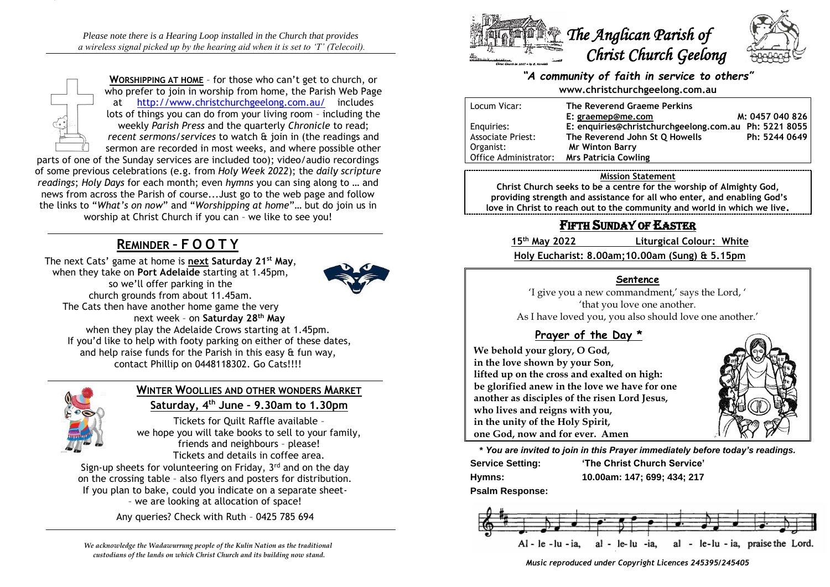*Please note there is a Hearing Loop installed in the Church that provides a wireless signal picked up by the hearing aid when it is set to 'T' (Telecoil).*



**WORSHIPPING AT HOME** – for those who can't get to church, or who prefer to join in worship from home, the Parish Web Page at <http://www.christchurchgeelong.com.au/>includes lots of things you can do from your living room – including the weekly *Parish Press* and the quarterly *Chronicle* to read; *recent sermons/services* to watch & join in (the readings and sermon are recorded in most weeks, and where possible other

parts of one of the Sunday services are included too); video/audio recordings of some previous celebrations (e.g. from *Holy Week 2022*); the *daily scripture readings*; *Holy Days* for each month; even *hymns* you can sing along to … and news from across the Parish of course...Just go to the web page and follow the links to "*What's on now*" and "*Worshipping at home*"… but do join us in worship at Christ Church if you can – we like to see you!

# **REMINDER – F O O T Y**

The next Cats' game at home is **next Saturday 21st May**, when they take on **Port Adelaide** starting at 1.45pm, so we'll offer parking in the church grounds from about 11.45am. The Cats then have another home game the very next week – on **Saturday 28th May** when they play the Adelaide Crows starting at 1.45pm. If you'd like to help with footy parking on either of these dates, and help raise funds for the Parish in this easy & fun way, contact Phillip on 0448118302. Go Cats!!!!



### **WINTER WOOLLIES AND OTHER WONDERS MARKET Saturday, 4th June – 9.30am to 1.30pm**

Tickets for Quilt Raffle available – we hope you will take books to sell to your family, friends and neighbours – please! Tickets and details in coffee area.

Sign-up sheets for volunteering on Friday, 3<sup>rd</sup> and on the day on the crossing table – also flyers and posters for distribution. If you plan to bake, could you indicate on a separate sheet- – we are looking at allocation of space!

Any queries? Check with Ruth – 0425 785 694

*We acknowledge the Wadawurrung people of the Kulin Nation as the traditional custodians of the lands on which Christ Church and its building now stand.*



### *"A community of faith in service to others"* **www.christchurchgeelong.com.au**

| Locum Vicar:             | The Reverend Graeme Perkins                           |                 |
|--------------------------|-------------------------------------------------------|-----------------|
|                          | E: graemep@me.com                                     | M: 0457 040 826 |
| Enguiries:               | E: enquiries@christchurchgeelong.com.au Ph: 5221 8055 |                 |
| <b>Associate Priest:</b> | The Reverend John St Q Howells                        | Ph: 5244 0649   |
| Organist:                | <b>Mr Winton Barry</b>                                |                 |
| Office Administrator:    | <b>Mrs Patricia Cowling</b>                           |                 |

#### **Mission Statement**

**Christ Church seeks to be a centre for the worship of Almighty God, providing strength and assistance for all who enter, and enabling God's love in Christ to reach out to the community and world in which we live.**

## FIFTH SUNDAY OF EASTER

**15th May 2022 Liturgical Colour: White**

**Holy Eucharist: 8.00am;10.00am (Sung) & 5.15pm**

### **Sentence**

'I give you a new commandment,' says the Lord, ' 'that you love one another. As I have loved you, you also should love one another.'

### **Prayer of the Day \***

**We behold your glory, O God, in the love shown by your Son, lifted up on the cross and exalted on high: be glorified anew in the love we have for one another as disciples of the risen Lord Jesus, who lives and reigns with you, in the unity of the Holy Spirit, one God, now and for ever. Amen**

**\*** *You are invited to join in this Prayer immediately before today's readings.*

| <b>Service Setting:</b> | 'The Christ Church Service' |
|-------------------------|-----------------------------|
| Hymns:                  | 10.00am: 147; 699; 434; 217 |

**Psalm Response:** 



*Music reproduced under Copyright Licences 245395/245405*